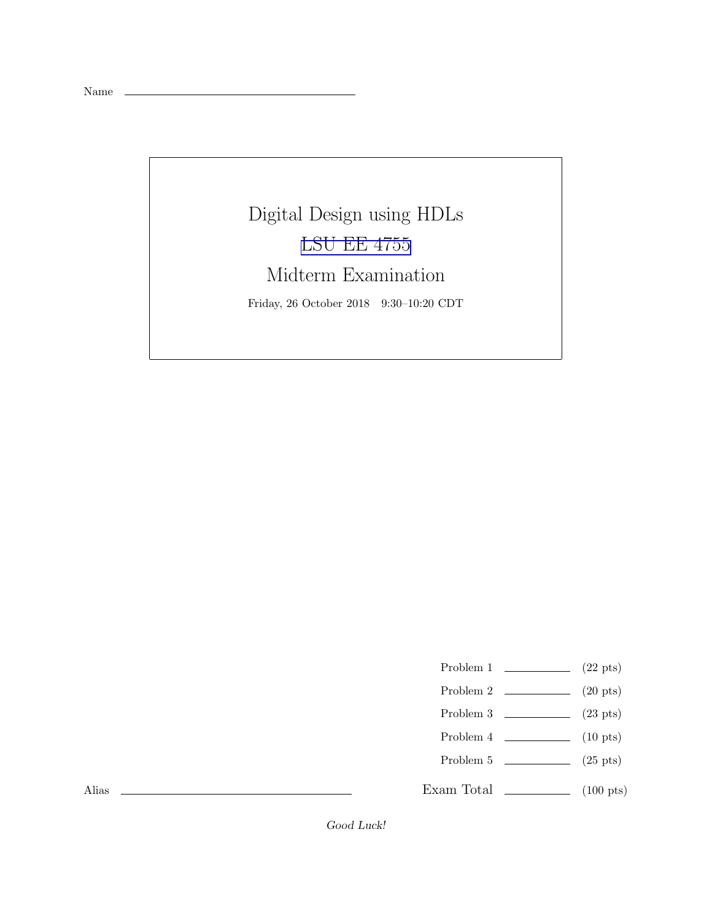Name

Digital Design using HDLs [LSU EE 4755](https://www.ece.lsu.edu/koppel/v/) Midterm Examination Friday, 26 October 2018 9:30–10:20 CDT

Problem 1  $\qquad \qquad$  (22 pts)

- Problem 2  $\qquad \qquad$  (20 pts)
- Problem 3 (23 pts)
- Problem 4  $\qquad \qquad$  (10 pts)
- Problem 5 (25 pts)

Exam Total  $\qquad \qquad$  (100 pts)

Alias

Good Luck!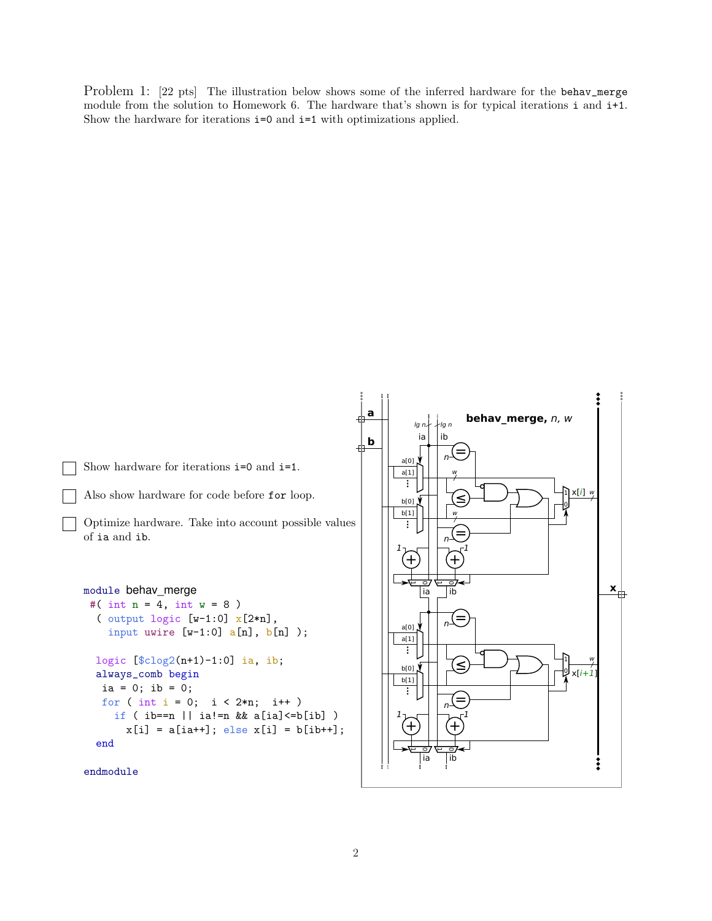Problem 1: [22 pts] The illustration below shows some of the inferred hardware for the behav\_merge module from the solution to Homework 6. The hardware that's shown is for typical iterations i and i+1. Show the hardware for iterations  $i=0$  and  $i=1$  with optimizations applied.



```
endmodule
```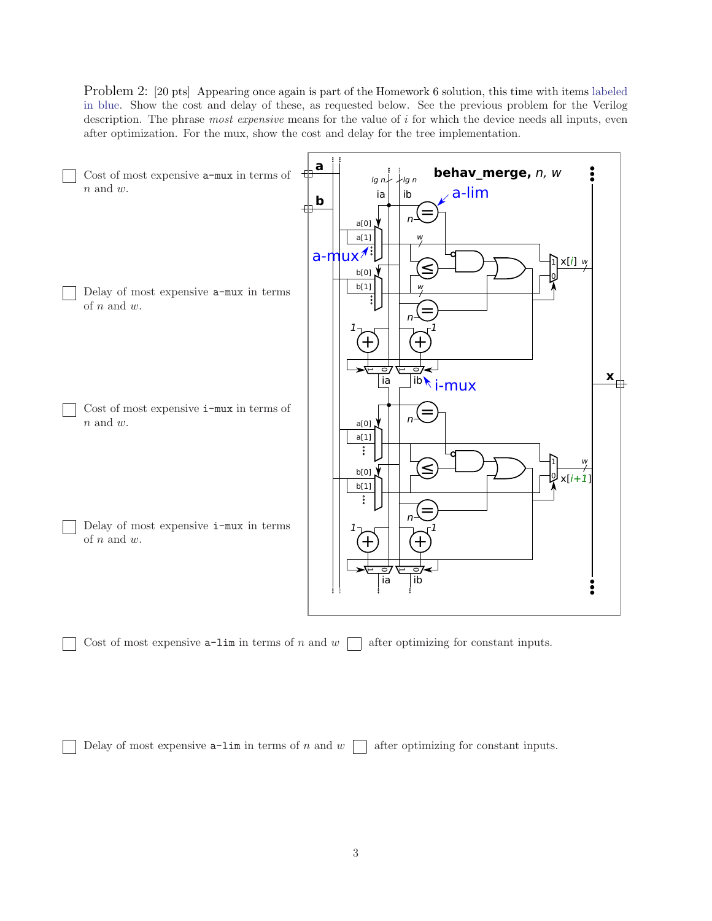Problem 2: [20 pts] Appearing once again is part of the Homework 6 solution, this time with items labeled in blue. Show the cost and delay of these, as requested below. See the previous problem for the Verilog description. The phrase *most expensive* means for the value of i for which the device needs all inputs, even after optimization. For the mux, show the cost and delay for the tree implementation.



Delay of most expensive  $a-1$ im in terms of n and  $w \prod$  after optimizing for constant inputs.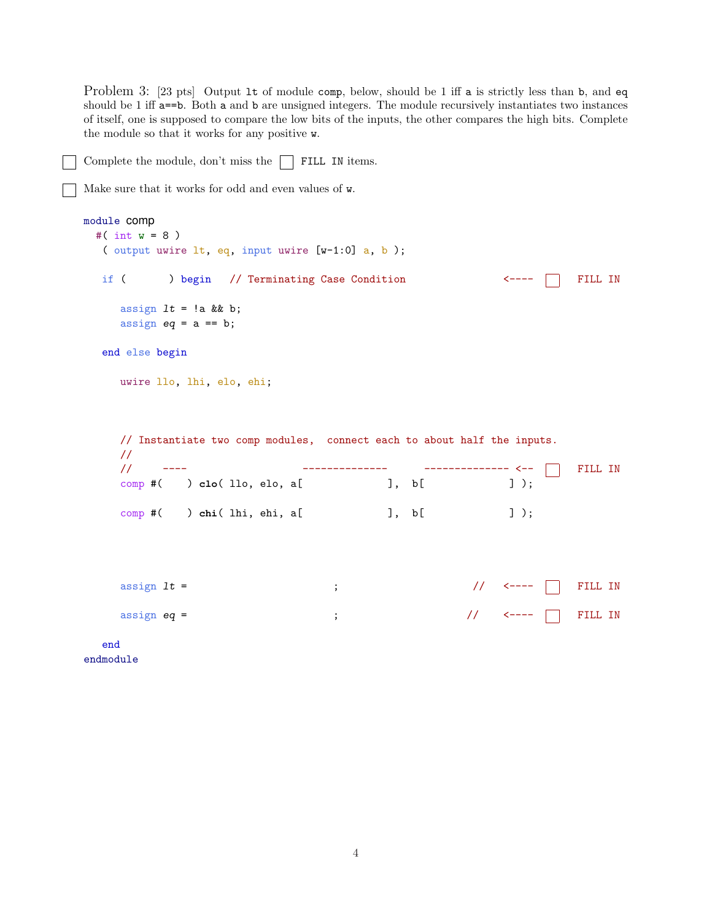Problem 3: [23 pts] Output 1t of module comp, below, should be 1 iff a is strictly less than b, and eq should be 1 iff a==b. Both a and b are unsigned integers. The module recursively instantiates two instances of itself, one is supposed to compare the low bits of the inputs, the other compares the high bits. Complete the module so that it works for any positive w.

```
Complete the module, don't miss the \Box FILL IN items.
Make sure that it works for odd and even values of w.
module comp
 #( int w = 8 )
  ( output uwire lt, eq, input uwire [w-1:0] a, b );
  if ( ) begin // Terminating Case Condition \longleftarrow ---- \Box FILL IN
     assign It = !a && b;
    assign eq = a == b;
  end else begin
    uwire llo, lhi, elo, ehi;
    // Instantiate two comp modules, connect each to about half the inputs.
    //
    // ---- -------------- -------------- <-- FILL IN
     comp #( ) clo( llo, elo, a[ ], b[ ] );
     comp #( ) chi( lhi, ehi, a[ ], b[ ]);
     assign lt = ; // <---- FILL IN
     assign eq = \qquad ; \qquad // <--- \Box FILL IN
  end
```
endmodule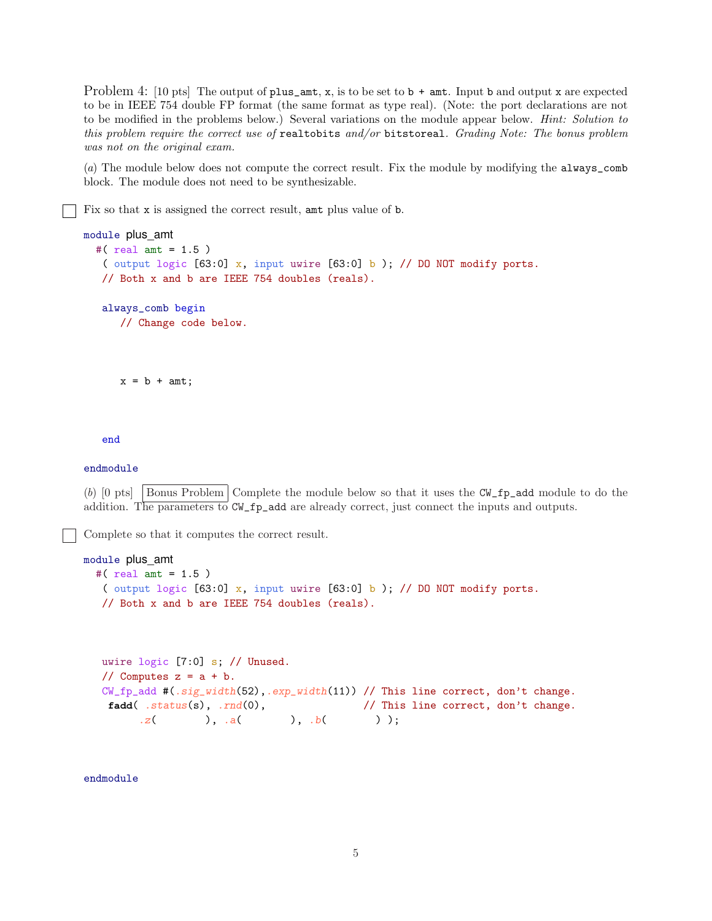Problem 4: [10 pts] The output of plus\_amt, x, is to be set to  $\mathfrak{b}$  + amt. Input b and output x are expected to be in IEEE 754 double FP format (the same format as type real). (Note: the port declarations are not to be modified in the problems below.) Several variations on the module appear below. *Hint: Solution to this problem require the correct use of* realtobits *and/or* bitstoreal*. Grading Note: The bonus problem was not on the original exam.*

(*a*) The module below does not compute the correct result. Fix the module by modifying the always\_comb block. The module does not need to be synthesizable.

Fix so that x is assigned the correct result, amt plus value of b.

```
module plus_amt
  #( real amt = 1.5 )
   ( output logic [63:0] x, input uwire [63:0] b ); // DO NOT modify ports.
  // Both x and b are IEEE 754 doubles (reals).
   always_comb begin
      // Change code below.
```

```
x = b + amt;
```
end

## endmodule

(b) [0 pts] Bonus Problem Complete the module below so that it uses the  $CW\_fp$ <sub>-add</sub> module to do the addition. The parameters to  $CV_f$  and are already correct, just connect the inputs and outputs.

Complete so that it computes the correct result.

```
module plus_amt
  #( real amt = 1.5 )
   ( output logic [63:0] x, input uwire [63:0] b ); // DO NOT modify ports.
  // Both x and b are IEEE 754 doubles (reals).
```

```
uwire logic [7:0] s; // Unused.
// Computes z = a + b.
CW_fp_add #(.sig_width(52),.exp_width(11)) // This line correct, don't change.
fadd( .status(s), .rnd(0), / This line correct, don't change.
     z( ), a( ), b( ));
```
endmodule